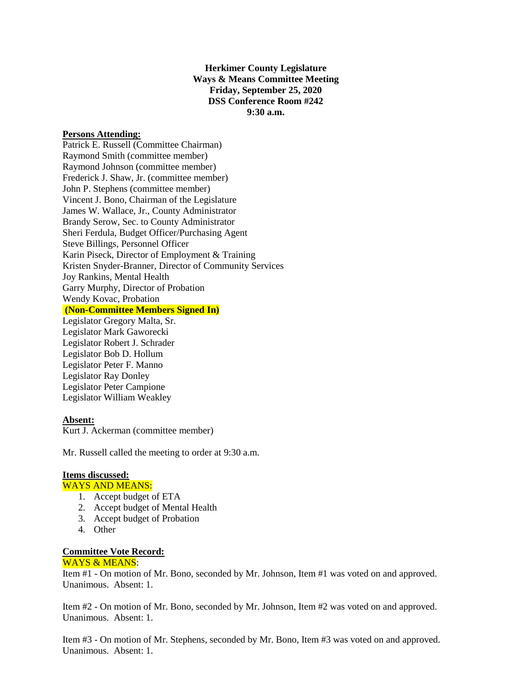**Herkimer County Legislature Ways & Means Committee Meeting Friday, September 25, 2020 DSS Conference Room #242 9:30 a.m.**

### **Persons Attending:**

Patrick E. Russell (Committee Chairman) Raymond Smith (committee member) Raymond Johnson (committee member) Frederick J. Shaw, Jr. (committee member) John P. Stephens (committee member) Vincent J. Bono, Chairman of the Legislature James W. Wallace, Jr., County Administrator Brandy Serow, Sec. to County Administrator Sheri Ferdula, Budget Officer/Purchasing Agent Steve Billings, Personnel Officer Karin Piseck, Director of Employment & Training Kristen Snyder-Branner, Director of Community Services Joy Rankins, Mental Health Garry Murphy, Director of Probation Wendy Kovac, Probation **(Non-Committee Members Signed In)** Legislator Gregory Malta, Sr. Legislator Mark Gaworecki Legislator Robert J. Schrader Legislator Bob D. Hollum Legislator Peter F. Manno Legislator Ray Donley

Legislator Peter Campione Legislator William Weakley

#### **Absent:**

Kurt J. Ackerman (committee member)

Mr. Russell called the meeting to order at 9:30 a.m.

# **Items discussed:**

#### WAYS AND MEANS:

- 1. Accept budget of ETA
- 2. Accept budget of Mental Health
- 3. Accept budget of Probation
- 4. Other

## **Committee Vote Record:**

#### WAYS & MEANS:

Item #1 - On motion of Mr. Bono, seconded by Mr. Johnson, Item #1 was voted on and approved. Unanimous. Absent: 1.

Item #2 - On motion of Mr. Bono, seconded by Mr. Johnson, Item #2 was voted on and approved. Unanimous. Absent: 1.

Item #3 - On motion of Mr. Stephens, seconded by Mr. Bono, Item #3 was voted on and approved. Unanimous. Absent: 1.